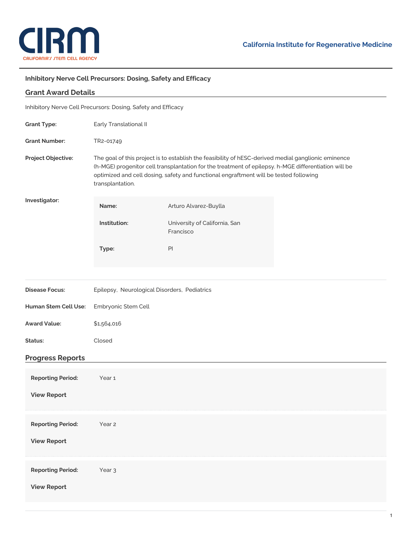

## **Inhibitory Nerve Cell Precursors: Dosing, Safety and Efficacy**

| <b>Grant Award Details</b>                                    |                                                                                                                                                                                                                                                                                                                          |                                            |  |
|---------------------------------------------------------------|--------------------------------------------------------------------------------------------------------------------------------------------------------------------------------------------------------------------------------------------------------------------------------------------------------------------------|--------------------------------------------|--|
| Inhibitory Nerve Cell Precursors: Dosing, Safety and Efficacy |                                                                                                                                                                                                                                                                                                                          |                                            |  |
| <b>Grant Type:</b>                                            | Early Translational II                                                                                                                                                                                                                                                                                                   |                                            |  |
| <b>Grant Number:</b>                                          | TR2-01749                                                                                                                                                                                                                                                                                                                |                                            |  |
| Project Objective:                                            | The goal of this project is to establish the feasibility of hESC-derived medial ganglionic eminence<br>(h-MGE) progenitor cell transplantation for the treatment of epilepsy. h-MGE differentiation will be<br>optimized and cell dosing, safety and functional engraftment will be tested following<br>transplantation. |                                            |  |
| Investigator:                                                 | Name:                                                                                                                                                                                                                                                                                                                    | Arturo Alvarez-Buylla                      |  |
|                                                               | Institution:                                                                                                                                                                                                                                                                                                             | University of California, San<br>Francisco |  |
|                                                               | Type:                                                                                                                                                                                                                                                                                                                    | PI                                         |  |
|                                                               |                                                                                                                                                                                                                                                                                                                          |                                            |  |
| <b>Disease Focus:</b>                                         | Epilepsy, Neurological Disorders, Pediatrics                                                                                                                                                                                                                                                                             |                                            |  |
| Human Stem Cell Use:                                          | Embryonic Stem Cell                                                                                                                                                                                                                                                                                                      |                                            |  |
| <b>Award Value:</b>                                           | \$1,564,016                                                                                                                                                                                                                                                                                                              |                                            |  |
| Status:                                                       | Closed                                                                                                                                                                                                                                                                                                                   |                                            |  |
| <b>Progress Reports</b>                                       |                                                                                                                                                                                                                                                                                                                          |                                            |  |
| <b>Reporting Period:</b>                                      | Year <sub>1</sub>                                                                                                                                                                                                                                                                                                        |                                            |  |
| <b>View Report</b>                                            |                                                                                                                                                                                                                                                                                                                          |                                            |  |
| <b>Reporting Period:</b>                                      | Year 2                                                                                                                                                                                                                                                                                                                   |                                            |  |
| <b>View Report</b>                                            |                                                                                                                                                                                                                                                                                                                          |                                            |  |
| <b>Reporting Period:</b>                                      | Year <sub>3</sub>                                                                                                                                                                                                                                                                                                        |                                            |  |
| <b>View Report</b>                                            |                                                                                                                                                                                                                                                                                                                          |                                            |  |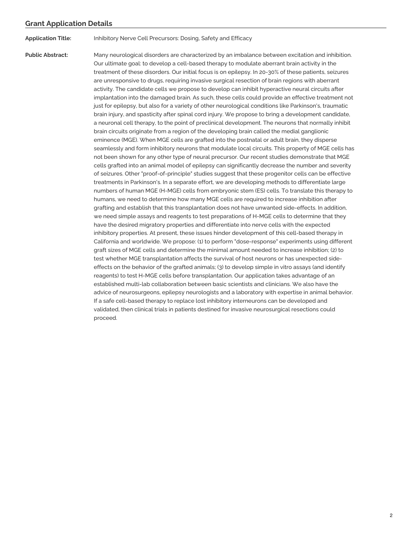## **Grant Application Details**

**Application Title:** Inhibitory Nerve Cell Precursors: Dosing, Safety and Efficacy

**Public Abstract:** Many neurological disorders are characterized by an imbalance between excitation and inhibition. Our ultimate goal: to develop a cell-based therapy to modulate aberrant brain activity in the treatment of these disorders. Our initial focus is on epilepsy. In 20-30% of these patients, seizures are unresponsive to drugs, requiring invasive surgical resection of brain regions with aberrant activity. The candidate cells we propose to develop can inhibit hyperactive neural circuits after implantation into the damaged brain. As such, these cells could provide an effective treatment not just for epilepsy, but also for a variety of other neurological conditions like Parkinson's, traumatic brain injury, and spasticity after spinal cord injury. We propose to bring a development candidate, a neuronal cell therapy, to the point of preclinical development. The neurons that normally inhibit brain circuits originate from a region of the developing brain called the medial ganglionic eminence (MGE). When MGE cells are grafted into the postnatal or adult brain, they disperse seamlessly and form inhibitory neurons that modulate local circuits. This property of MGE cells has not been shown for any other type of neural precursor. Our recent studies demonstrate that MGE cells grafted into an animal model of epilepsy can significantly decrease the number and severity of seizures. Other "proof-of-principle" studies suggest that these progenitor cells can be effective treatments in Parkinson's. In a separate effort, we are developing methods to differentiate large numbers of human MGE (H-MGE) cells from embryonic stem (ES) cells. To translate this therapy to humans, we need to determine how many MGE cells are required to increase inhibition after grafting and establish that this transplantation does not have unwanted side-effects. In addition, we need simple assays and reagents to test preparations of H-MGE cells to determine that they have the desired migratory properties and differentiate into nerve cells with the expected inhibitory properties. At present, these issues hinder development of this cell-based therapy in California and worldwide. We propose: (1) to perform "dose-response" experiments using different graft sizes of MGE cells and determine the minimal amount needed to increase inhibition; (2) to test whether MGE transplantation affects the survival of host neurons or has unexpected sideeffects on the behavior of the grafted animals; (3) to develop simple in vitro assays (and identify reagents) to test H-MGE cells before transplantation. Our application takes advantage of an established multi-lab collaboration between basic scientists and clinicians. We also have the advice of neurosurgeons, epilepsy neurologists and a laboratory with expertise in animal behavior. If a safe cell-based therapy to replace lost inhibitory interneurons can be developed and validated, then clinical trials in patients destined for invasive neurosurgical resections could proceed.